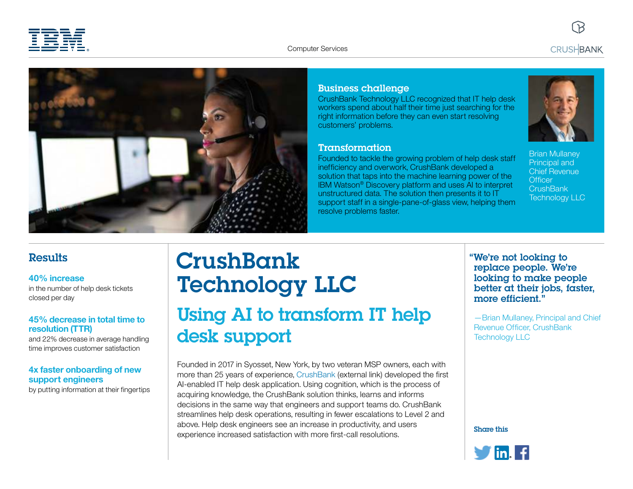



## Business challenge

CrushBank Technology LLC recognized that IT help desk workers spend about half their time just searching for the right information before they can even start resolving customers' problems.

#### Transformation

Founded to tackle the growing problem of help desk staff inefficiency and overwork, CrushBank developed a solution that taps into the machine learning power of the IBM Watson® Discovery platform and uses AI to interpret unstructured data. The solution then presents it to IT support staff in a single-pane-of-glass view, helping them resolve problems faster.



Brian Mullaney Principal and Chief Revenue **Officer CrushBank** Technology LLC

## **Results**

#### **40% increase**

in the number of help desk tickets closed per day

### **45% decrease in total time to resolution (TTR)**

and 22% decrease in average handling time improves customer satisfaction

### **4x faster onboarding of new support engineers**

by putting information at their fingertips

# **CrushBank** Technology LLC Using AI to transform IT help desk support

Founded in 2017 in Syosset, New York, by two veteran MSP owners, each with more than 25 years of experience, [CrushBank](https://www.crushbank.com/) (external link) developed the first AI-enabled IT help desk application. Using cognition, which is the process of acquiring knowledge, the CrushBank solution thinks, learns and informs decisions in the same way that engineers and support teams do. CrushBank streamlines help desk operations, resulting in fewer escalations to Level 2 and above. Help desk engineers see an increase in productivity, and users experience increased satisfaction with more first-call resolutions.

## "We're not looking to replace people. We're looking to make people better at their jobs, faster, more efficient."

—Brian Mullaney, Principal and Chief Revenue Officer, CrushBank Technology LLC

Share this

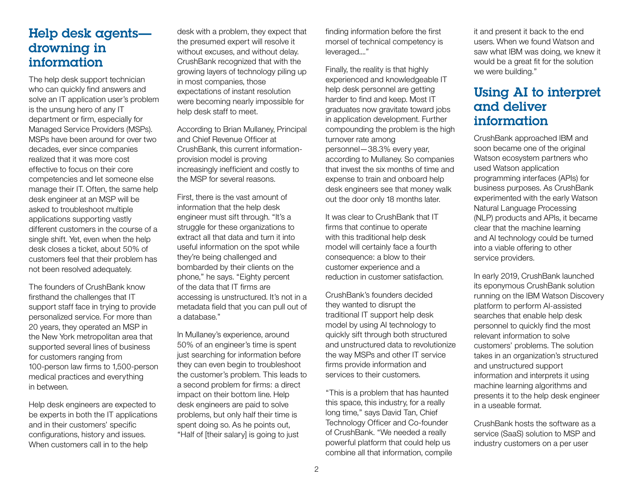# Help desk agents drowning in information

The help desk support technician who can quickly find answers and solve an IT application user's problem is the unsung hero of any IT department or firm, especially for Managed Service Providers (MSPs). MSPs have been around for over two decades, ever since companies realized that it was more cost effective to focus on their core competencies and let someone else manage their IT. Often, the same help desk engineer at an MSP will be asked to troubleshoot multiple applications supporting vastly different customers in the course of a single shift. Yet, even when the help desk closes a ticket, about 50% of customers feel that their problem has not been resolved adequately.

The founders of CrushBank know firsthand the challenges that IT support staff face in trying to provide personalized service. For more than 20 years, they operated an MSP in the New York metropolitan area that supported several lines of business for customers ranging from 100-person law firms to 1,500-person medical practices and everything in between.

Help desk engineers are expected to be experts in both the IT applications and in their customers' specific configurations, history and issues. When customers call in to the help

desk with a problem, they expect that the presumed expert will resolve it without excuses, and without delay. CrushBank recognized that with the growing layers of technology piling up in most companies, those expectations of instant resolution were becoming nearly impossible for help desk staff to meet.

According to Brian Mullaney, Principal and Chief Revenue Officer at CrushBank, this current informationprovision model is proving increasingly inefficient and costly to the MSP for several reasons.

First, there is the vast amount of information that the help desk engineer must sift through. "It's a struggle for these organizations to extract all that data and turn it into useful information on the spot while they're being challenged and bombarded by their clients on the phone," he says. "Eighty percent of the data that IT firms are accessing is unstructured. It's not in a metadata field that you can pull out of a database."

In Mullaney's experience, around 50% of an engineer's time is spent just searching for information before they can even begin to troubleshoot the customer's problem. This leads to a second problem for firms: a direct impact on their bottom line. Help desk engineers are paid to solve problems, but only half their time is spent doing so. As he points out, "Half of [their salary] is going to just

finding information before the first morsel of technical competency is leveraged...."

Finally, the reality is that highly experienced and knowledgeable IT help desk personnel are getting harder to find and keep. Most IT graduates now gravitate toward jobs in application development. Further compounding the problem is the high turnover rate among personnel—38.3% every year, according to Mullaney. So companies that invest the six months of time and expense to train and onboard help desk engineers see that money walk out the door only 18 months later.

It was clear to CrushBank that IT firms that continue to operate with this traditional help desk model will certainly face a fourth consequence: a blow to their customer experience and a reduction in customer satisfaction.

CrushBank's founders decided they wanted to disrupt the traditional IT support help desk model by using AI technology to quickly sift through both structured and unstructured data to revolutionize the way MSPs and other IT service firms provide information and services to their customers.

"This is a problem that has haunted this space, this industry, for a really long time," says David Tan, Chief Technology Officer and Co-founder of CrushBank. "We needed a really powerful platform that could help us combine all that information, compile it and present it back to the end users. When we found Watson and saw what IBM was doing, we knew it would be a great fit for the solution we were building."

## Using AI to interpret and deliver information

CrushBank approached IBM and soon became one of the original Watson ecosystem partners who used Watson application programming interfaces (APIs) for business purposes. As CrushBank experimented with the early Watson Natural Language Processing (NLP) products and APIs, it became clear that the machine learning and AI technology could be turned into a viable offering to other service providers.

In early 2019, CrushBank launched its eponymous CrushBank solution running on the IBM Watson Discovery platform to perform AI-assisted searches that enable help desk personnel to quickly find the most relevant information to solve customers' problems. The solution takes in an organization's structured and unstructured support information and interprets it using machine learning algorithms and presents it to the help desk engineer in a useable format.

CrushBank hosts the software as a service (SaaS) solution to MSP and industry customers on a per user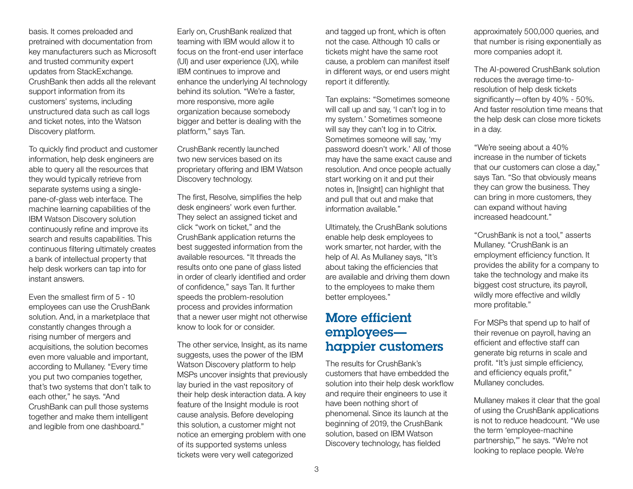basis. It comes preloaded and pretrained with documentation from key manufacturers such as Microsoft and trusted community expert updates from StackExchange. CrushBank then adds all the relevant support information from its customers' systems, including unstructured data such as call logs and ticket notes, into the Watson Discovery platform.

To quickly find product and customer information, help desk engineers are able to query all the resources that they would typically retrieve from separate systems using a singlepane-of-glass web interface. The machine learning capabilities of the IBM Watson Discovery solution continuously refine and improve its search and results capabilities. This continuous filtering ultimately creates a bank of intellectual property that help desk workers can tap into for instant answers.

Even the smallest firm of 5 - 10 employees can use the CrushBank solution. And, in a marketplace that constantly changes through a rising number of mergers and acquisitions, the solution becomes even more valuable and important, according to Mullaney. "Every time you put two companies together, that's two systems that don't talk to each other," he says. "And CrushBank can pull those systems together and make them intelligent and legible from one dashboard."

Early on, CrushBank realized that teaming with IBM would allow it to focus on the front-end user interface (UI) and user experience (UX), while IBM continues to improve and enhance the underlying AI technology behind its solution. "We're a faster, more responsive, more agile organization because somebody bigger and better is dealing with the platform," says Tan.

CrushBank recently launched two new services based on its proprietary offering and IBM Watson Discovery technology.

The first, Resolve, simplifies the help desk engineers' work even further. They select an assigned ticket and click "work on ticket," and the CrushBank application returns the best suggested information from the available resources. "It threads the results onto one pane of glass listed in order of clearly identified and order of confidence," says Tan. It further speeds the problem-resolution process and provides information that a newer user might not otherwise know to look for or consider.

The other service, Insight, as its name suggests, uses the power of the IBM Watson Discovery platform to help MSPs uncover insights that previously lay buried in the vast repository of their help desk interaction data. A key feature of the Insight module is root cause analysis. Before developing this solution, a customer might not notice an emerging problem with one of its supported systems unless tickets were very well categorized

and tagged up front, which is often not the case. Although 10 calls or tickets might have the same root cause, a problem can manifest itself in different ways, or end users might report it differently.

Tan explains: "Sometimes someone will call up and say, 'I can't log in to my system.' Sometimes someone will say they can't log in to Citrix. Sometimes someone will say, 'my password doesn't work.' All of those may have the same exact cause and resolution. And once people actually start working on it and put their notes in, [Insight] can highlight that and pull that out and make that information available."

Ultimately, the CrushBank solutions enable help desk employees to work smarter, not harder, with the help of AI. As Mullaney says, "It's about taking the efficiencies that are available and driving them down to the employees to make them better employees."

# More efficient employees happier customers

The results for CrushBank's customers that have embedded the solution into their help desk workflow and require their engineers to use it have been nothing short of phenomenal. Since its launch at the beginning of 2019, the CrushBank solution, based on IBM Watson Discovery technology, has fielded

approximately 500,000 queries, and that number is rising exponentially as more companies adopt it.

The AI-powered CrushBank solution reduces the average time-toresolution of help desk tickets significantly—often by 40% - 50%. And faster resolution time means that the help desk can close more tickets in a day.

"We're seeing about a 40% increase in the number of tickets that our customers can close a day," says Tan. "So that obviously means they can grow the business. They can bring in more customers, they can expand without having increased headcount."

"CrushBank is not a tool," asserts Mullaney. "CrushBank is an employment efficiency function. It provides the ability for a company to take the technology and make its biggest cost structure, its payroll, wildly more effective and wildly more profitable."

For MSPs that spend up to half of their revenue on payroll, having an efficient and effective staff can generate big returns in scale and profit. "It's just simple efficiency, and efficiency equals profit," Mullaney concludes.

Mullaney makes it clear that the goal of using the CrushBank applications is not to reduce headcount. "We use the term 'employee-machine partnership,'" he says. "We're not looking to replace people. We're